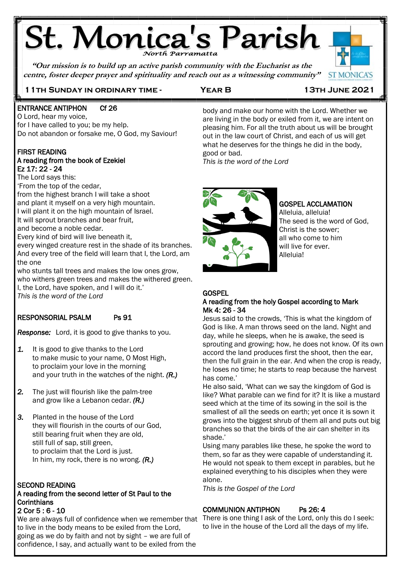# **St. Monica's Parish**

**"Our mission is to build up an active parish community with the Eucharist as the centre, foster deeper prayer and spirituality and reach out as a witnessing community"**



## **11th Sunday in ordinary time - Year B 13th June 2021**

#### İ ī ENTRANCE ANTIPHON Cf 26

O Lord, hear my voice, for I have called to you; be my help. Do not abandon or forsake me, O God, my Saviour!

#### FIRST READING A reading from the book of Ezekiel Ez 17: 22 - 24

The Lord says this: 'From the top of the cedar, from the highest branch I will take a shoot and plant it myself on a very high mountain. I will plant it on the high mountain of Israel. It will sprout branches and bear fruit, and become a noble cedar. Every kind of bird will live beneath it, every winged creature rest in the shade of its branches.

And every tree of the field will learn that I, the Lord, am the one

who stunts tall trees and makes the low ones grow, who withers green trees and makes the withered green. I, the Lord, have spoken, and I will do it.' *This is the word of the Lord*

## RESPONSORIAL PSALM Ps 91

*Response:* Lord, it is good to give thanks to you.

- *1.* It is good to give thanks to the Lord to make music to your name, O Most High, to proclaim your love in the morning and your truth in the watches of the night. *(R.)*
- *2.* The just will flourish like the palm-tree and grow like a Lebanon cedar. *(R.)*
- *3.* Planted in the house of the Lord they will flourish in the courts of our God, still bearing fruit when they are old, still full of sap, still green, to proclaim that the Lord is just. In him, my rock, there is no wrong. *(R.)*

## SECOND READING

## A reading from the second letter of St Paul to the **Corinthians**

#### 2 Cor 5 : 6 - 10

We are always full of confidence when we remember that There is one thing I ask of the Lord, only this do I seek: to live in the body means to be exiled from the Lord, going as we do by faith and not by sight – we are full of confidence, I say, and actually want to be exiled from the

body and make our home with the Lord. Whether we are living in the body or exiled from it, we are intent on pleasing him. For all the truth about us will be brought out in the law court of Christ, and each of us will get what he deserves for the things he did in the body, good or bad.

*This is the word of the Lord*



## GOSPEL ACCLAMATION

Alleluia, alleluia! The seed is the word of God, Christ is the sower; all who come to him will live for ever. Alleluia!

#### **GOSPEL** A reading from the holy Gospel according to Mark Mk 4: 26 - 34

Jesus said to the crowds, 'This is what the kingdom of God is like. A man throws seed on the land. Night and day, while he sleeps, when he is awake, the seed is sprouting and growing; how, he does not know. Of its own accord the land produces first the shoot, then the ear, then the full grain in the ear. And when the crop is ready, he loses no time; he starts to reap because the harvest has come.'

He also said, 'What can we say the kingdom of God is like? What parable can we find for it? It is like a mustard seed which at the time of its sowing in the soil is the smallest of all the seeds on earth; yet once it is sown it grows into the biggest shrub of them all and puts out big branches so that the birds of the air can shelter in its shade.'

Using many parables like these, he spoke the word to them, so far as they were capable of understanding it. He would not speak to them except in parables, but he explained everything to his disciples when they were alone.

*This is the Gospel of the Lord*

## COMMUNION ANTIPHON Ps 26: 4

to live in the house of the Lord all the days of my life.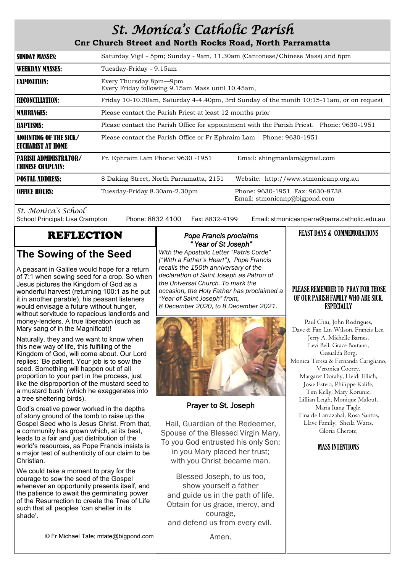## *St. Monica's Catholic Parish*

**Cnr Church Street and North Rocks Road, North Parramatta**

| SUNDAY MASSES:                                           | Saturday Vigil - 5pm; Sunday - 9am, 11.30am (Cantonese/Chinese Mass) and 6pm              |                                                                  |  |
|----------------------------------------------------------|-------------------------------------------------------------------------------------------|------------------------------------------------------------------|--|
| <b>WEEKDAY MASSES:</b>                                   | Tuesday-Friday - 9.15am                                                                   |                                                                  |  |
| <b>EXPOSITION:</b>                                       | Every Thursday 8pm—9pm<br>Every Friday following 9.15am Mass until 10.45am,               |                                                                  |  |
| <b>RECONCILIATION:</b>                                   | Friday 10-10.30am, Saturday 4-4.40pm, 3rd Sunday of the month 10:15-11am, or on request   |                                                                  |  |
| <b>MARRIAGES:</b>                                        | Please contact the Parish Priest at least 12 months prior                                 |                                                                  |  |
| <b>BAPTISMS:</b>                                         | Please contact the Parish Office for appointment with the Parish Priest. Phone: 9630-1951 |                                                                  |  |
| ANOINTING OF THE SICK/<br>EUCHARIST AT HOME              | Please contact the Parish Office or Fr Ephraim Lam Phone: 9630-1951                       |                                                                  |  |
| <b>PARISH ADMINISTRATOR/</b><br><b>CHINESE CHAPLAIN:</b> | Fr. Ephraim Lam Phone: 9630 -1951                                                         | Email: shingmanlam@gmail.com                                     |  |
| <b>POSTAL ADDRESS:</b>                                   | 8 Daking Street, North Parramatta, 2151                                                   | Website: http://www.stmonicanp.org.au                            |  |
| <b>OFFICE HOURS:</b>                                     | Tuesday-Friday 8.30am-2.30pm                                                              | Phone: 9630-1951 Fax: 9630-8738<br>Email: stmonicanp@bigpond.com |  |

*St. Monica's School*

School Principal: Lisa Crampton Phone: 8832 4100 Fax: 8832-4199 Email: stmonicasnparra@parra.catholic.edu.au

## REFLECTION *Pope Francis proclaims*

## **The Sowing of the Seed**

A peasant in Galilee would hope for a return of 7:1 when sowing seed for a crop. So when Jesus pictures the Kingdom of God as a wonderful harvest (returning 100:1 as he put it in another parable), his peasant listeners would envisage a future without hunger, without servitude to rapacious landlords and money-lenders. A true liberation (such as Mary sang of in the Magnificat)!

Naturally, they and we want to know when this new way of life, this fulfilling of the Kingdom of God, will come about. Our Lord replies: 'Be patient. Your job is to sow the seed. Something will happen out of all proportion to your part in the process, just like the disproportion of the mustard seed to a mustard bush' (which he exaggerates into a tree sheltering birds).

God's creative power worked in the depths of stony ground of the tomb to raise up the Gospel Seed who is Jesus Christ. From that, a community has grown which, at its best, leads to a fair and just distribution of the world's resources, as Pope Francis insists is a major test of authenticity of our claim to be Christian.

We could take a moment to pray for the courage to sow the seed of the Gospel whenever an opportunity presents itself, and the patience to await the germinating power of the Resurrection to create the Tree of Life such that all peoples 'can shelter in its shade'.

© Fr Michael Tate; mtate@bigpond.com

## *" Year of St Joseph"*

*With the Apostolic Letter "Patris Corde" ("With a Father's Heart"), Pope Francis recalls the 150th anniversary of the declaration of Saint Joseph as Patron of the Universal Church. To mark the occasion, the Holy Father has proclaimed a "Year of Saint Joseph" from, 8 December 2020, to 8 December 2021.* 



Prayer to St. Joseph

Hail, Guardian of the Redeemer, Spouse of the Blessed Virgin Mary. To you God entrusted his only Son; in you Mary placed her trust; with you Christ became man.

Blessed Joseph, to us too, show yourself a father and guide us in the path of life. Obtain for us grace, mercy, and courage, and defend us from every evil.

## FEAST DAYS & COMMEMORATIONS

#### PLEASE REMEMBER TO PRAY FOR THOSE OF OUR PARISH FAMILY WHO ARE SICK. **ESPECIALLY**

Paul Chiu, John Rodrigues, Dave & Fan Lin Wilson, Francis Lee, Jerry A, Michelle Barnes, Levi Bell, Grace Boitano, Gesualda Borg, Monica Teresa & Fernanda Carigliano, Veronica Coorey. Margaret Dorahy, Heidi Ellich, Josie Estera, Philippe Kalife, Tim Kelly, Mary Korunic, Lillian Leigh, Monique Malouf, Maria Itang Tagle, Tina de Larrazabal, Rosa Santos, Llave Family, Sheila Watts, Gloria Cherote,

## MASS INTENTIONS

Amen.